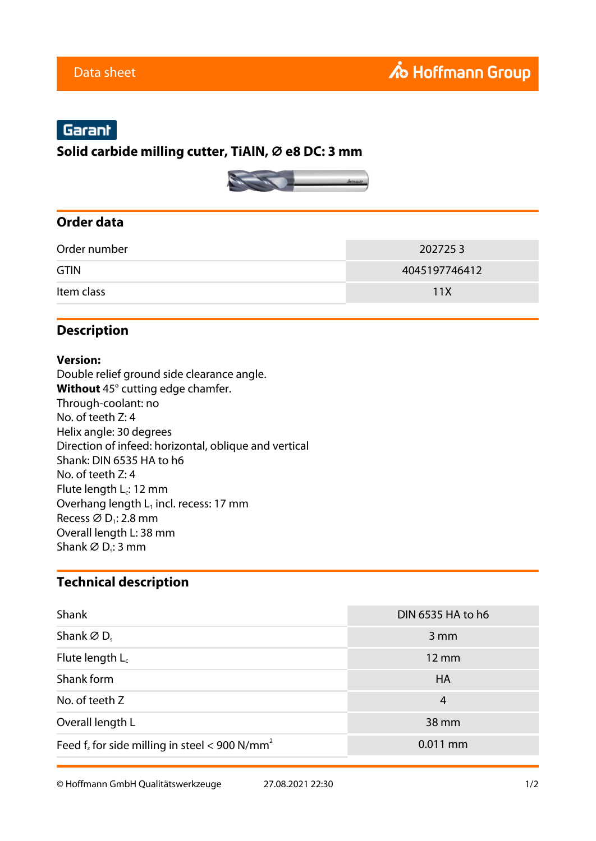# Garant

## **Solid carbide milling cutter, TiAlN, ⌀ e8 DC: 3 mm**



# **Order data**

| Order number | 2027253       |
|--------------|---------------|
| <b>GTIN</b>  | 4045197746412 |
| Item class   | 11X           |

# **Description**

#### **Version:**

Double relief ground side clearance angle. **Without** 45° cutting edge chamfer. Through-coolant: no No. of teeth Z: 4 Helix angle: 30 degrees Direction of infeed: horizontal, oblique and vertical Shank: DIN 6535 HA to h6 No. of teeth Z: 4 Flute length  $L_c$ : 12 mm Overhang length  $L_1$  incl. recess: 17 mm Recess  $\varnothing$  D<sub>1</sub>: 2.8 mm Overall length L: 38 mm Shank Ø D<sub>s</sub>: 3 mm

## **Technical description**

| Shank                                                        | DIN 6535 HA to h6 |
|--------------------------------------------------------------|-------------------|
| Shank $\varnothing$ D.                                       | $3 \, \text{mm}$  |
| Flute length $L_c$                                           | 12 mm             |
| Shank form                                                   | <b>HA</b>         |
| No. of teeth Z                                               | 4                 |
| Overall length L                                             | 38 mm             |
| Feed $f_z$ for side milling in steel < 900 N/mm <sup>2</sup> | $0.011$ mm        |

© Hoffmann GmbH Qualitätswerkzeuge 27.08.2021 22:30 1/2